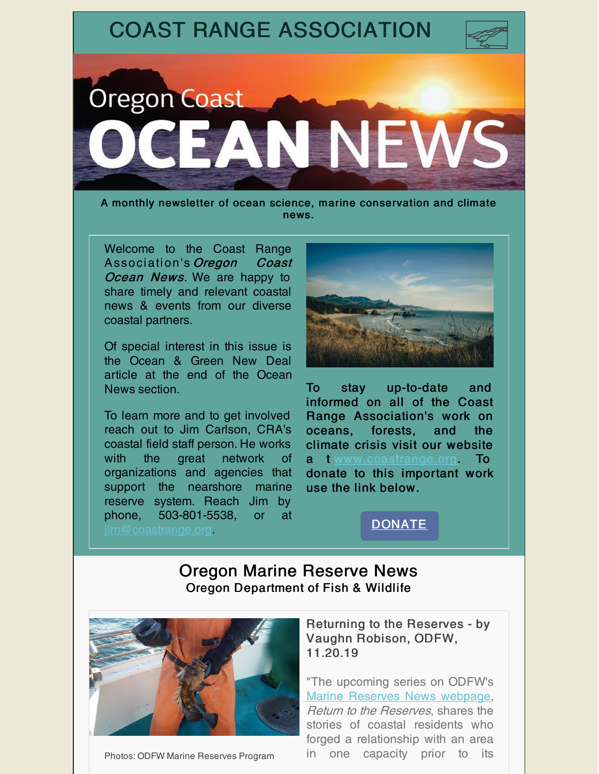

A monthly newsletter of ocean science, marine conservation and climate news.

Welcome to the Coast Range Association's *Oregon* Coast Ocean News. We are happy to share timely and relevant coastal news & events from our diverse coastal partners.

Of special interest in this issue is the Ocean & Green New Deal article at the end of the Ocean News section.

To learn more and to get involved reach out to Jim Carlson, CRA's coastal field staff person. He works with the great network of organizations and agencies that support the nearshore marine reserve system. Reach Jim by phone, 503-801-5538, or at [jim@coastrange.org](mailto:jim@coastrange.org).



To stay up-to-date and informed on all of the Coast Range Association's work on oceans, forests, and the climate crisis visit our website a t[www.coastrange.org.](http://coastrange.org) To donate to this important work use the link below.

**[DONATE](https://coastrange.org/donate/)** 

### Oregon Marine Reserve News Oregon Department of Fish & Wildlife



Photos: ODFW Marine Reserves Program

Returning to the Reserves - by Vaughn Robison, ODFW, 11.20.19

"The upcoming series on ODFW's Marine [Reserves](https://lnks.gd/l/eyJhbGciOiJIUzI1NiJ9.eyJidWxsZXRpbl9saW5rX2lkIjoxMDIsInVyaSI6ImJwMjpjbGljayIsImJ1bGxldGluX2lkIjoiMjAxOTExMjEuMTMyMDI0OTEiLCJ1cmwiOiJodHRwczovL29yZWdvbm1hcmluZXJlc2VydmVzLmNvbS9uZXdzLyJ9.letSKFxMhKv5UWFxRk2VPxbOKTJkkqE6XQzqgRMu9ic/br/71701179961-l) News webpage, Return to the Reserves, shares the stories of coastal residents who forged a relationship with an area in one capacity prior to its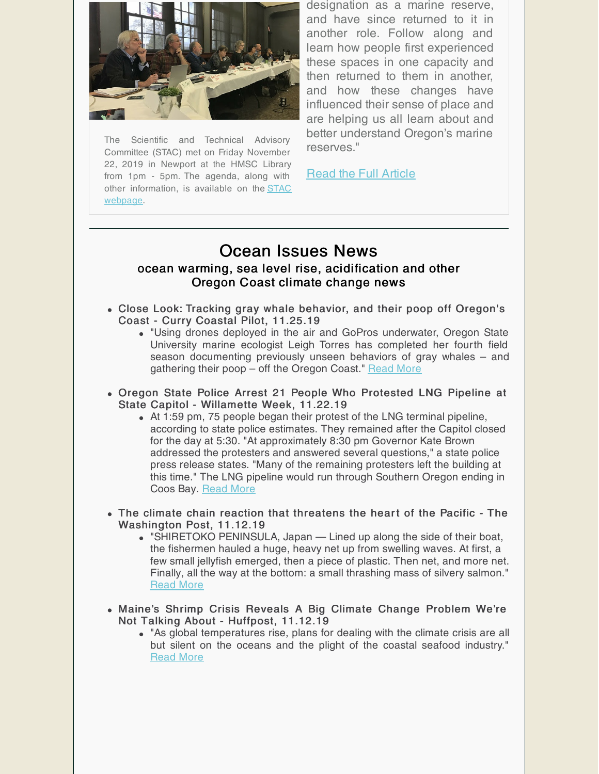

The Scientific and Technical Advisory Committee (STAC) met on Friday November 22, 2019 in Newport at the HMSC Library from 1pm - 5pm. The agenda, along with other [information,](https://lnks.gd/l/eyJhbGciOiJIUzI1NiJ9.eyJidWxsZXRpbl9saW5rX2lkIjoxMDQsInVyaSI6ImJwMjpjbGljayIsImJ1bGxldGluX2lkIjoiMjAxOTExMjEuMTMyMDI0OTEiLCJ1cmwiOiJodHRwczovL3d3dy5vcmVnb25vY2Vhbi5pbmZvL2luZGV4LnBocC9zY2llbnRpZmljLWFuZC10ZWNobmljYWwtYWR2aXNvcnktY29tbWl0dGVlIn0.N0xeHVZ-u3RAztUrscGU68pjBruuvNqfW6c6LzNIIbM/br/71701179961-l) is available on the STAC webpage.

designation as a marine reserve, and have since returned to it in another role. Follow along and learn how people first experienced these spaces in one capacity and then returned to them in another, and how these changes have influenced their sense of place and are helping us all learn about and better understand Oregon's marine reserves."

Read the Full [Article](https://oregonmarinereserves.com/2019/11/20/returning-to-the-reserves/)

### Ocean Issues News ocean warming, sea level rise, acidification and other Oregon Coast climate change news

- Close Look: Tracking gray whale behavior, and their poop off Oregon's Coast - Curry Coastal Pilot, 11.25.19
	- "Using drones deployed in the air and GoPros underwater, Oregon State University marine ecologist Leigh Torres has completed her fourth field season documenting previously unseen behaviors of gray whales – and gathering their poop – off the Oregon Coast." [Read](https://www.currypilot.com/news_paid/close-look-tracking-gray-whale-behavior-and-their-poop-off/article_24aec00a-0a5d-11ea-bfbe-e30ee229c156.html) More
- Oregon State Police Arrest 21 People Who Protested LNG Pipeline at State Capitol - Willamette Week, 11.22.19
	- At 1:59 pm, 75 people began their protest of the LNG terminal pipeline, according to state police estimates. They remained after the Capitol closed for the day at 5:30. "At approximately 8:30 pm Governor Kate Brown addressed the protesters and answered several questions," a state police press release states. "Many of the remaining protesters left the building at this time." The LNG pipeline would run through Southern Oregon ending in Coos Bay. [Read](https://www.wweek.com/news/state/2019/11/22/oregon-police-arrest-21-people-who-protested-lng-pipeline-at-state-capitol/) More
- The climate chain reaction that threatens the heart of the Pacific The Washington Post, 11.12.19
	- "SHIRETOKO PENINSULA, Japan Lined up along the side of their boat, the fishermen hauled a huge, heavy net up from swelling waves. At first, a few small jellyfish emerged, then a piece of plastic. Then net, and more net. Finally, all the way at the bottom: a small thrashing mass of silvery salmon." [Read](https://www.washingtonpost.com/graphics/2019/world/climate-environment/climate-change-japan-pacific-sea-salmon-ice-loss/) More
- Maine's Shrimp Crisis Reveals A Big Climate Change Problem We're Not Talking About - Huffpost, 11.12.19
	- "As global temperatures rise, plans for dealing with the climate crisis are all but silent on the oceans and the plight of the coastal seafood industry." [Read](https://www.huffpost.com/entry/maine-shrimp-climate_n_5da8b76fe4b0b5c9be4b4c43) More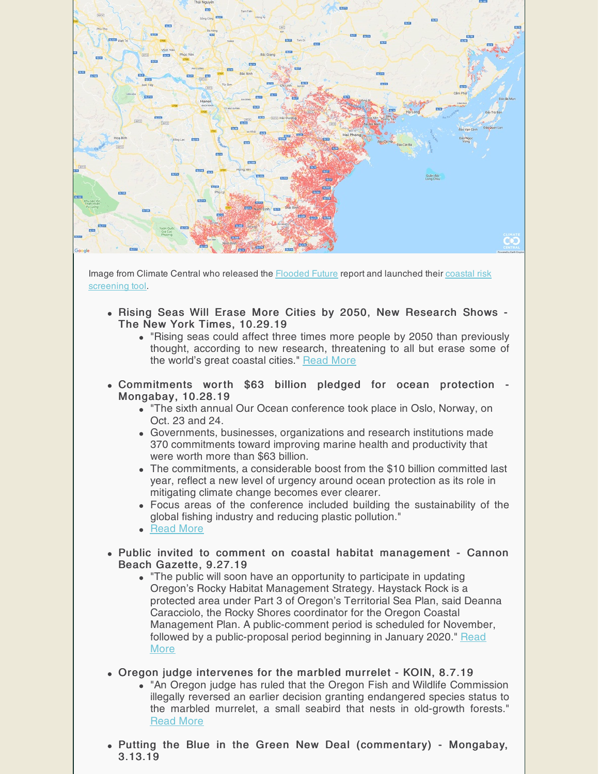

- Management Plan. A public-comment period is scheduled for November, followed by a [public-proposal](https://www.cannonbeachgazette.com/news/public-invited-to-comment-on-coastal-habitat-management/article_d79b760c-de6d-11e9-804e-eb26a65d8faf.html) period beginning in January 2020." Read More
- Oregon judge intervenes for the marbled murrelet KOIN, 8.7.19
	- "An Oregon judge has ruled that the Oregon Fish and Wildlife Commission illegally reversed an earlier decision granting endangered species status to the marbled murrelet, a small seabird that nests in old-growth forests." [Read](https://www.koin.com/news/environment/oregon-judge-intervenes-for-the-marbled-murrelet/) More
- Putting the Blue in the Green New Deal (commentary) Mongabay, 3.13.19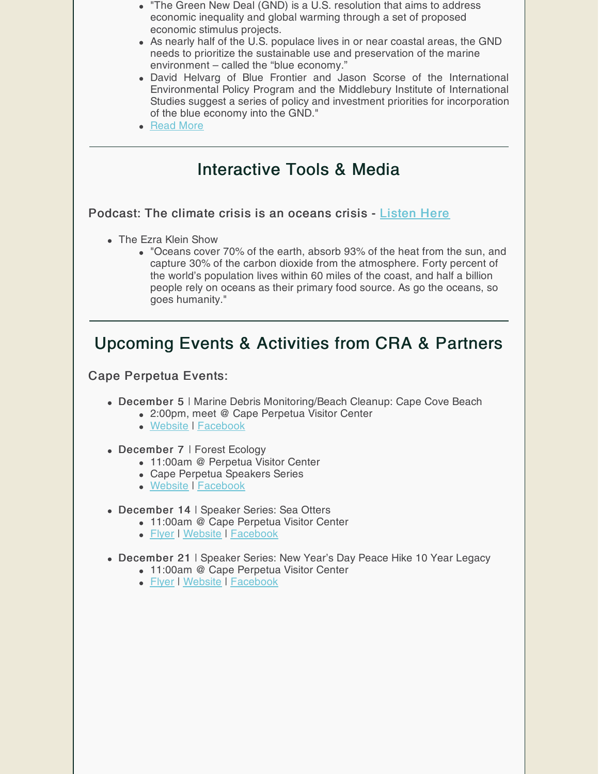- "The Green New Deal (GND) is a U.S. resolution that aims to address economic inequality and global warming through a set of proposed economic stimulus projects.
- As nearly half of the U.S. populace lives in or near coastal areas, the GND needs to prioritize the sustainable use and preservation of the marine environment – called the "blue economy."
- David Helvarg of Blue Frontier and Jason Scorse of the International Environmental Policy Program and the Middlebury Institute of International Studies suggest a series of policy and investment priorities for incorporation of the blue economy into the GND."
- [Read](https://news.mongabay.com/2019/03/putting-the-blue-in-the-green-new-deal-commentary/) More

## Interactive Tools & Media

Podcast: The climate crisis is an oceans crisis - [Listen](https://www.stitcher.com/podcast/the-ezra-klein-show/e/65036537?autoplay=true&te=1&nl=climate-fwd:&emc=edit_clim_20191120?campaign_id=54&instance_id=13988&segment_id=18951&user_id=1bb482ae7de095661fbbcd2eb4e47392%C2%AEi_id=97995575lim_20191120) Here

- The Ezra Klein Show
	- "Oceans cover 70% of the earth, absorb 93% of the heat from the sun, and capture 30% of the carbon dioxide from the atmosphere. Forty percent of the world's population lives within 60 miles of the coast, and half a billion people rely on oceans as their primary food source. As go the oceans, so goes humanity."

### Upcoming Events & Activities from CRA & Partners

Cape Perpetua Events:

- December 5 | Marine Debris Monitoring/Beach Cleanup: Cape Cove Beach
	- 2:00pm, meet @ Cape Perpetua Visitor Center
		- [Website](https://capeperpetuacollaborative.org/event/cape-cove-beach-marine-debris-monitoring-on-the-oregon-coast-2-2-2/) | [Facebook](https://www.facebook.com/events/1249353315188908/)
- December 7 | Forest Ecology
	- 11:00am @ Perpetua Visitor Center
	- Cape Perpetua Speakers Series
	- [Website](https://capeperpetuacollaborative.org/event/forest-ecology/) | [Facebook](https://www.facebook.com/events/453055208660317/)
- December 14 | Speaker Series: Sea Otters
	- 11:00am @ Cape Perpetua Visitor Center
	- [Flyer](http://capeperpetuacollaborative.org/wp-content/uploads/2019/10/bob-bailey-12-14-19-sea-otters-flyer-pdf.pdf) | [Website](https://capeperpetuacollaborative.org/event/sea-otters/) | [Facebook](https://www.facebook.com/events/2364914077080856/)
- December 21 | Speaker Series: New Year's Day Peace Hike 10 Year Legacy
	- 11:00am @ Cape Perpetua Visitor Center
	- [Flyer](http://capeperpetuacollaborative.org/wp-content/uploads/2019/10/joanne-kittel-12-21-19-flyer-pdf.pdf) | [Website](https://capeperpetuacollaborative.org/event/new-years-day-peace-hike-10-year-legacy/) | [Facebook](https://www.facebook.com/events/1036189700046548/)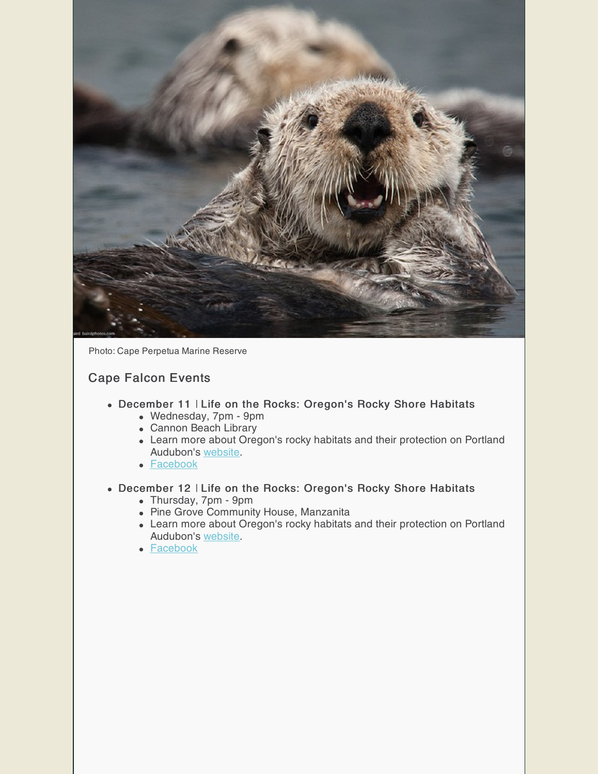

Photo: Cape Perpetua Marine Reserve

#### Cape Falcon Events

- December 11 | Life on the Rocks: Oregon's Rocky Shore Habitats
	- Wednesday, 7pm 9pm
	- Cannon Beach Library
	- Learn more about Oregon's rocky habitats and their protection on Portland Audubon's [website](https://audubonportland.org/our-work/protect/habitat-and-wildlife/coastal-marine/rocky-shores-protection/).
	- **[Facebook](https://www.facebook.com/events/1248653111991770/)**
- December 12 | Life on the Rocks: Oregon's Rocky Shore Habitats
	- Thursday, 7pm 9pm
	- Pine Grove Community House, Manzanita
	- Learn more about Oregon's rocky habitats and their protection on Portland Audubon's [website](https://audubonportland.org/our-work/protect/habitat-and-wildlife/coastal-marine/rocky-shores-protection/).
	- **[Facebook](https://www.facebook.com/events/543959313099724/)**